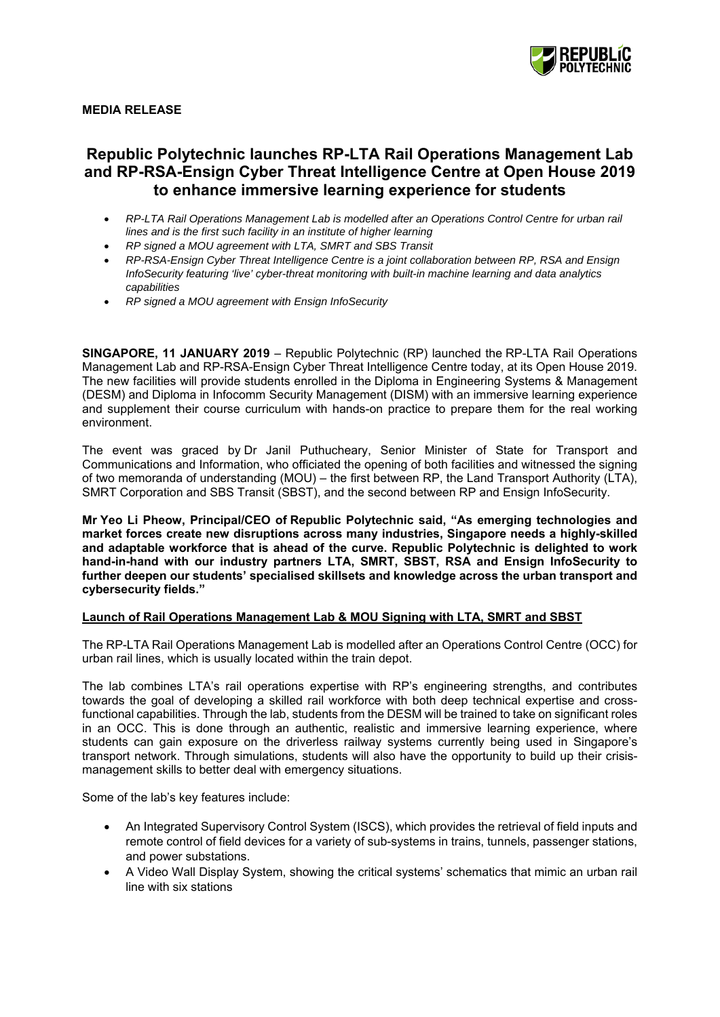

# **MEDIA RELEASE**

# **Republic Polytechnic launches RP-LTA Rail Operations Management Lab and RP-RSA-Ensign Cyber Threat Intelligence Centre at Open House 2019 to enhance immersive learning experience for students**

- *RP-LTA Rail Operations Management Lab is modelled after an Operations Control Centre for urban rail lines and is the first such facility in an institute of higher learning*
- *RP signed a MOU agreement with LTA, SMRT and SBS Transit*
- *RP-RSA-Ensign Cyber Threat Intelligence Centre is a joint collaboration between RP, RSA and Ensign InfoSecurity featuring 'live' cyber-threat monitoring with built-in machine learning and data analytics capabilities*
- *RP signed a MOU agreement with Ensign InfoSecurity*

**SINGAPORE, 11 JANUARY 2019** – Republic Polytechnic (RP) launched the RP-LTA Rail Operations Management Lab and RP-RSA-Ensign Cyber Threat Intelligence Centre today, at its Open House 2019. The new facilities will provide students enrolled in the Diploma in Engineering Systems & Management (DESM) and Diploma in Infocomm Security Management (DISM) with an immersive learning experience and supplement their course curriculum with hands-on practice to prepare them for the real working environment.

The event was graced by Dr Janil Puthucheary, Senior Minister of State for Transport and Communications and Information, who officiated the opening of both facilities and witnessed the signing of two memoranda of understanding (MOU) – the first between RP, the Land Transport Authority (LTA), SMRT Corporation and SBS Transit (SBST), and the second between RP and Ensign InfoSecurity.

**Mr Yeo Li Pheow, Principal/CEO of Republic Polytechnic said, "As emerging technologies and market forces create new disruptions across many industries, Singapore needs a highly-skilled and adaptable workforce that is ahead of the curve. Republic Polytechnic is delighted to work hand-in-hand with our industry partners LTA, SMRT, SBST, RSA and Ensign InfoSecurity to further deepen our students' specialised skillsets and knowledge across the urban transport and cybersecurity fields."** 

# **Launch of Rail Operations Management Lab & MOU Signing with LTA, SMRT and SBST**

The RP-LTA Rail Operations Management Lab is modelled after an Operations Control Centre (OCC) for urban rail lines, which is usually located within the train depot.

The lab combines LTA's rail operations expertise with RP's engineering strengths, and contributes towards the goal of developing a skilled rail workforce with both deep technical expertise and crossfunctional capabilities. Through the lab, students from the DESM will be trained to take on significant roles in an OCC. This is done through an authentic, realistic and immersive learning experience, where students can gain exposure on the driverless railway systems currently being used in Singapore's transport network. Through simulations, students will also have the opportunity to build up their crisismanagement skills to better deal with emergency situations.

Some of the lab's key features include:

- An Integrated Supervisory Control System (ISCS), which provides the retrieval of field inputs and remote control of field devices for a variety of sub-systems in trains, tunnels, passenger stations, and power substations.
- A Video Wall Display System, showing the critical systems' schematics that mimic an urban rail line with six stations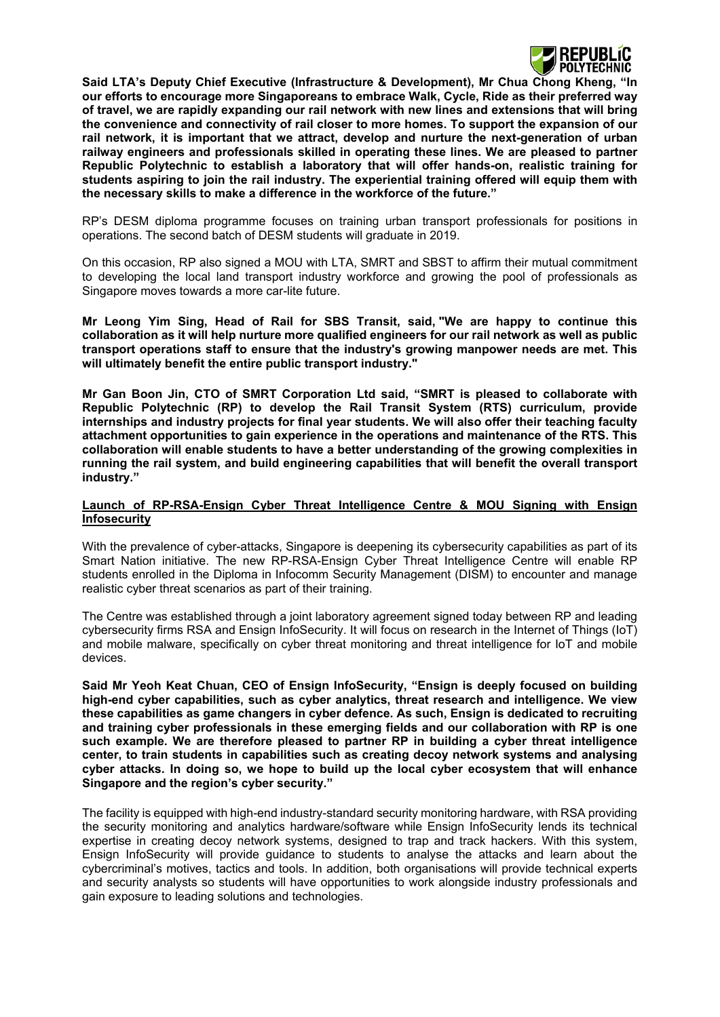

**Said LTA's Deputy Chief Executive (Infrastructure & Development), Mr Chua Chong Kheng, "In our efforts to encourage more Singaporeans to embrace Walk, Cycle, Ride as their preferred way of travel, we are rapidly expanding our rail network with new lines and extensions that will bring the convenience and connectivity of rail closer to more homes. To support the expansion of our rail network, it is important that we attract, develop and nurture the next-generation of urban railway engineers and professionals skilled in operating these lines. We are pleased to partner Republic Polytechnic to establish a laboratory that will offer hands-on, realistic training for students aspiring to join the rail industry. The experiential training offered will equip them with the necessary skills to make a difference in the workforce of the future."** 

RP's DESM diploma programme focuses on training urban transport professionals for positions in operations. The second batch of DESM students will graduate in 2019.

On this occasion, RP also signed a MOU with LTA, SMRT and SBST to affirm their mutual commitment to developing the local land transport industry workforce and growing the pool of professionals as Singapore moves towards a more car-lite future.

**Mr Leong Yim Sing, Head of Rail for SBS Transit, said, "We are happy to continue this collaboration as it will help nurture more qualified engineers for our rail network as well as public transport operations staff to ensure that the industry's growing manpower needs are met. This will ultimately benefit the entire public transport industry."**

**Mr Gan Boon Jin, CTO of SMRT Corporation Ltd said, "SMRT is pleased to collaborate with Republic Polytechnic (RP) to develop the Rail Transit System (RTS) curriculum, provide internships and industry projects for final year students. We will also offer their teaching faculty attachment opportunities to gain experience in the operations and maintenance of the RTS. This collaboration will enable students to have a better understanding of the growing complexities in running the rail system, and build engineering capabilities that will benefit the overall transport industry."**

#### **Launch of RP-RSA-Ensign Cyber Threat Intelligence Centre & MOU Signing with Ensign Infosecurity**

With the prevalence of cyber-attacks, Singapore is deepening its cybersecurity capabilities as part of its Smart Nation initiative. The new RP-RSA-Ensign Cyber Threat Intelligence Centre will enable RP students enrolled in the Diploma in Infocomm Security Management (DISM) to encounter and manage realistic cyber threat scenarios as part of their training.

The Centre was established through a joint laboratory agreement signed today between RP and leading cybersecurity firms RSA and Ensign InfoSecurity. It will focus on research in the Internet of Things (IoT) and mobile malware, specifically on cyber threat monitoring and threat intelligence for IoT and mobile devices.

**Said Mr Yeoh Keat Chuan, CEO of Ensign InfoSecurity, "Ensign is deeply focused on building high-end cyber capabilities, such as cyber analytics, threat research and intelligence. We view these capabilities as game changers in cyber defence. As such, Ensign is dedicated to recruiting and training cyber professionals in these emerging fields and our collaboration with RP is one such example. We are therefore pleased to partner RP in building a cyber threat intelligence center, to train students in capabilities such as creating decoy network systems and analysing cyber attacks. In doing so, we hope to build up the local cyber ecosystem that will enhance Singapore and the region's cyber security."** 

The facility is equipped with high-end industry-standard security monitoring hardware, with RSA providing the security monitoring and analytics hardware/software while Ensign InfoSecurity lends its technical expertise in creating decoy network systems, designed to trap and track hackers. With this system, Ensign InfoSecurity will provide guidance to students to analyse the attacks and learn about the cybercriminal's motives, tactics and tools. In addition, both organisations will provide technical experts and security analysts so students will have opportunities to work alongside industry professionals and gain exposure to leading solutions and technologies.